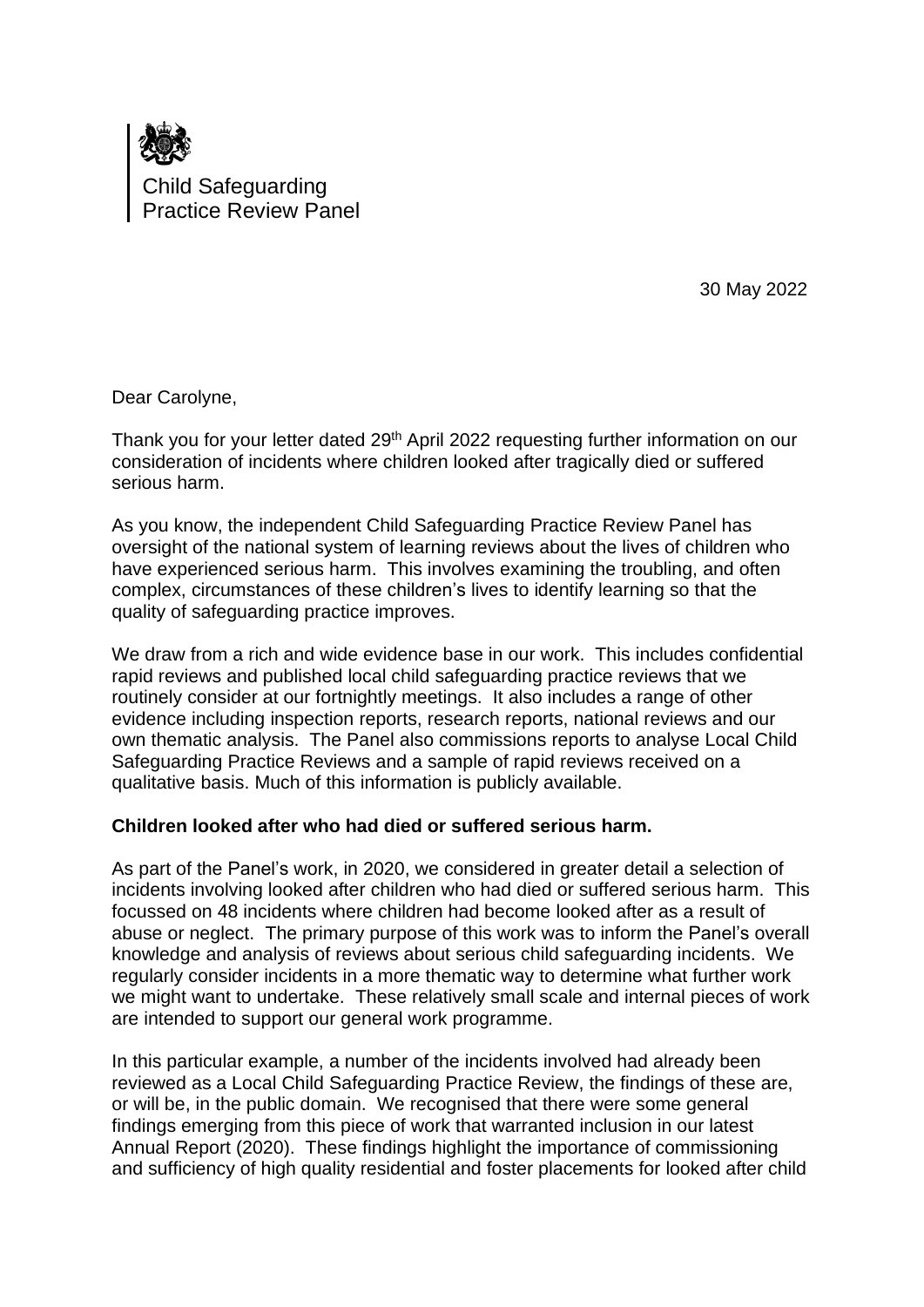

30 May 2022

Dear Carolyne,

Thank you for your letter dated 29th April 2022 requesting further information on our consideration of incidents where children looked after tragically died or suffered serious harm.

As you know, the independent Child Safeguarding Practice Review Panel has oversight of the national system of learning reviews about the lives of children who have experienced serious harm. This involves examining the troubling, and often complex, circumstances of these children's lives to identify learning so that the quality of safeguarding practice improves.

We draw from a rich and wide evidence base in our work. This includes confidential rapid reviews and published local child safeguarding practice reviews that we routinely consider at our fortnightly meetings. It also includes a range of other evidence including inspection reports, research reports, national reviews and our own thematic analysis. The Panel also commissions reports to analyse Local Child Safeguarding Practice Reviews and a sample of rapid reviews received on a qualitative basis. Much of this information is publicly available.

## **Children looked after who had died or suffered serious harm.**

As part of the Panel's work, in 2020, we considered in greater detail a selection of incidents involving looked after children who had died or suffered serious harm. This focussed on 48 incidents where children had become looked after as a result of abuse or neglect. The primary purpose of this work was to inform the Panel's overall knowledge and analysis of reviews about serious child safeguarding incidents. We regularly consider incidents in a more thematic way to determine what further work we might want to undertake. These relatively small scale and internal pieces of work are intended to support our general work programme.

In this particular example, a number of the incidents involved had already been reviewed as a Local Child Safeguarding Practice Review, the findings of these are, or will be, in the public domain. We recognised that there were some general findings emerging from this piece of work that warranted inclusion in our latest Annual Report (2020). These findings highlight the importance of commissioning and sufficiency of high quality residential and foster placements for looked after child